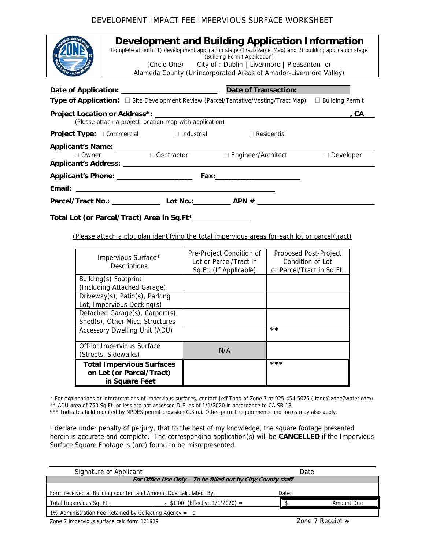## DEVELOPMENT IMPACT FEE IMPERVIOUS SURFACE WORKSHEET

| <b>ADOR VALLS</b> |
|-------------------|
|                   |
| <b>PROTECTION</b> |
| SUPPLY -          |

## **Development and Building Application Information**

Complete at both: 1) development application stage (Tract/Parcel Map) and 2) building application stage (Building Permit Application) (Circle One) City of : Dublin | Livermore | Pleasanton or

Alameda County (Unincorporated Areas of Amador-Livermore Valley)

| <b>Date of Transaction:</b>                                                                     |                                  |                           |           |
|-------------------------------------------------------------------------------------------------|----------------------------------|---------------------------|-----------|
| <b>Type of Application:</b> $\Box$ Site Development Review (Parcel/Tentative/Vesting/Tract Map) | <b>Building Permit</b>           |                           |           |
| (Please attach a project location map with application)                                         | . CA                             |                           |           |
| <b>Project Type:</b> $\Box$ Commercial $\Box$ Industrial                                        |                                  | $\Box$ Residential        |           |
| $\Box$ Owner                                                                                    | $\Box$ Contractor                | $\Box$ Engineer/Architect | Developer |
| Applicant's Phone: ____________________                                                         |                                  |                           |           |
|                                                                                                 |                                  |                           |           |
| Parcel/Tract No.: ____________                                                                  | Lot No.: $\qquad \qquad$ APN $#$ |                           |           |

**Total Lot (or Parcel/Tract) Area in Sq.Ft\*** 

(Please attach a plot plan identifying the total impervious areas for each lot or parcel/tract)

| Impervious Surface*<br>Descriptions                                            | Pre-Project Condition of<br>Lot or Parcel/Tract in<br>Sq.Ft. (If Applicable) | Proposed Post-Project<br>Condition of Lot<br>or Parcel/Tract in Sq.Ft. |
|--------------------------------------------------------------------------------|------------------------------------------------------------------------------|------------------------------------------------------------------------|
| Building(s) Footprint<br>(Including Attached Garage)                           |                                                                              |                                                                        |
| Driveway(s), Patio(s), Parking<br>Lot, Impervious Decking(s)                   |                                                                              |                                                                        |
| Detached Garage(s), Carport(s),<br>Shed(s), Other Misc. Structures             |                                                                              |                                                                        |
| <b>Accessory Dwelling Unit (ADU)</b>                                           |                                                                              | **                                                                     |
| Off-lot Impervious Surface<br>(Streets, Sidewalks)                             | N/A                                                                          |                                                                        |
| <b>Total Impervious Surfaces</b><br>on Lot (or Parcel/Tract)<br>in Square Feet |                                                                              | ***                                                                    |

\* For explanations or interpretations of impervious surfaces, contact Jeff Tang of Zone 7 at 925-454-5075 (jtang@zone7water.com)

\*\* ADU area of 750 Sq.Ft. or less are not assessed DIF, as of 1/1/2020 in accordance to CA SB-13.

\*\*\* Indicates field required by NPDES permit provision C.3.n.i. Other permit requirements and forms may also apply.

I declare under penalty of perjury, that to the best of my knowledge, the square footage presented herein is accurate and complete. The corresponding application(s) will be **CANCELLED** if the Impervious Surface Square Footage is (are) found to be misrepresented.

| Signature of Applicant                                          |                                     | Date  |                    |  |  |  |
|-----------------------------------------------------------------|-------------------------------------|-------|--------------------|--|--|--|
| For Office Use Only - To be filled out by City/County staff     |                                     |       |                    |  |  |  |
| Form received at Building counter and Amount Due calculated By: |                                     | Date: |                    |  |  |  |
| Total Impervious Sq. Ft.:                                       | x $$1.00$ (Effective $1/1/2020$ ) = |       | Amount Due         |  |  |  |
| 1% Administration Fee Retained by Collecting Agency = $$$       |                                     |       |                    |  |  |  |
| Zone 7 impervious surface calc form 121919                      |                                     |       | Zone 7 Receipt $#$ |  |  |  |